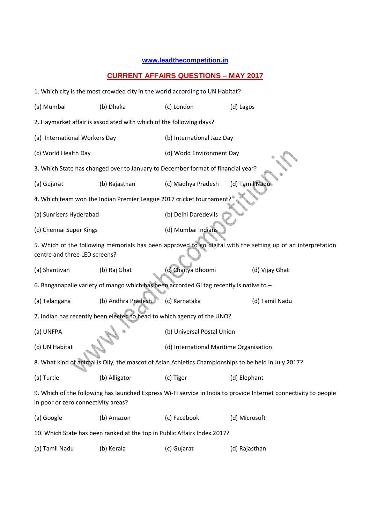## **www.leadthecompetition.in**

## **CURRENT AFFAIRS QUESTIONS – MAY 2017**

| 1. Which city is the most crowded city in the world according to UN Habitat?                                                                            |                                                                                         |                                         |                                                                                                              |  |  |  |
|---------------------------------------------------------------------------------------------------------------------------------------------------------|-----------------------------------------------------------------------------------------|-----------------------------------------|--------------------------------------------------------------------------------------------------------------|--|--|--|
| (a) Mumbai                                                                                                                                              | (b) Dhaka                                                                               | (c) London                              | (d) Lagos                                                                                                    |  |  |  |
| 2. Haymarket affair is associated with which of the following days?                                                                                     |                                                                                         |                                         |                                                                                                              |  |  |  |
| (a) International Workers Day                                                                                                                           |                                                                                         | (b) International Jazz Day              |                                                                                                              |  |  |  |
| (c) World Health Day                                                                                                                                    |                                                                                         | (d) World Environment Day               |                                                                                                              |  |  |  |
| 3. Which State has changed over to January to December format of financial year?                                                                        |                                                                                         |                                         |                                                                                                              |  |  |  |
| (a) Gujarat                                                                                                                                             | (b) Rajasthan                                                                           | (c) Madhya Pradesh                      | (d) Tamil Nadu                                                                                               |  |  |  |
|                                                                                                                                                         | 4. Which team won the Indian Premier League 2017 cricket tournamen                      |                                         |                                                                                                              |  |  |  |
| (a) Sunrisers Hyderabad                                                                                                                                 |                                                                                         | (b) Delhi Daredevils                    |                                                                                                              |  |  |  |
| (c) Chennai Super Kings                                                                                                                                 |                                                                                         | (d) Mumbai Indians                      |                                                                                                              |  |  |  |
|                                                                                                                                                         |                                                                                         |                                         | 5. Which of the following memorials has been approved to go digital with the setting up of an interpretation |  |  |  |
| centre and three LED screens?                                                                                                                           |                                                                                         |                                         |                                                                                                              |  |  |  |
| (a) Shantivan                                                                                                                                           | (b) Raj Ghat                                                                            | (c) Chaitya Bhoomi                      | (d) Vijay Ghat                                                                                               |  |  |  |
|                                                                                                                                                         | 6. Banganapalle variety of mango which has been accorded GI tag recently is native to - |                                         |                                                                                                              |  |  |  |
| (a) Telangana                                                                                                                                           | (b) Andhra Pradesh                                                                      | (c) Karnataka                           | (d) Tamil Nadu                                                                                               |  |  |  |
| 7. Indian has recently been elected to head to which agency of the UNO?                                                                                 |                                                                                         |                                         |                                                                                                              |  |  |  |
| (a) UNFPA                                                                                                                                               |                                                                                         | (b) Universal Postal Union              |                                                                                                              |  |  |  |
| (c) UN Habitat                                                                                                                                          |                                                                                         | (d) International Maritime Organisation |                                                                                                              |  |  |  |
| 8. What kind of animal is Olly, the mascot of Asian Athletics Championships to be held in July 2017?                                                    |                                                                                         |                                         |                                                                                                              |  |  |  |
| (a) Turtle                                                                                                                                              | (b) Alligator                                                                           | (c) Tiger                               | (d) Elephant                                                                                                 |  |  |  |
| 9. Which of the following has launched Express Wi-Fi service in India to provide Internet connectivity to people<br>in poor or zero connectivity areas? |                                                                                         |                                         |                                                                                                              |  |  |  |
| (a) Google                                                                                                                                              | (b) Amazon                                                                              | (c) Facebook                            | (d) Microsoft                                                                                                |  |  |  |
| 10. Which State has been ranked at the top in Public Affairs Index 2017?                                                                                |                                                                                         |                                         |                                                                                                              |  |  |  |
| (a) Tamil Nadu                                                                                                                                          | (b) Kerala                                                                              | (c) Gujarat                             | (d) Rajasthan                                                                                                |  |  |  |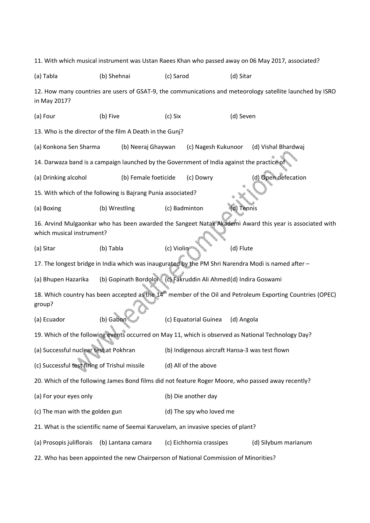11. With which musical instrument was Ustan Raees Khan who passed away on 06 May 2017, associated? (a) Tabla (b) Shehnai (c) Sarod (d) Sitar 12. How many countries are users of GSAT-9, the communications and meteorology satellite launched by ISRO in May 2017? (a) Four (b) Five (c) Six (d) Seven 13. Who is the director of the film A Death in the Gunj? (a) Konkona Sen Sharma (b) Neeraj Ghaywan (c) Nagesh Kukunoor (d) Vishal Bhardwaj 14. Darwaza band is a campaign launched by the Government of India against the practice of (a) Drinking alcohol (b) Female foeticide (c) Dowry (d) Open defecation 15. With which of the following is Bajrang Punia associated? (a) Boxing (b) Wrestling (c) Badminton (d) Tennis 16. Arvind Mulgaonkar who has been awarded the Sangeet Natak Akademi Award this year is associated with which musical instrument? (a) Sitar (b) Tabla (c) Violin (d) Flute 17. The longest bridge in India which was inaugurated by the PM Shri Narendra Modi is named after – (a) Bhupen Hazarika (b) Gopinath Bordoloi (c) Fakruddin Ali Ahmed (d) Indira Goswami 18. Which country has been accepted as the 14<sup>th</sup> member of the Oil and Petroleum Exporting Countries (OPEC) group? (a) Ecuador (b) Gabon (c) Equatorial Guinea (d) Angola 19. Which of the following events occurred on May 11, which is observed as National Technology Day? (a) Successful nuclear test at Pokhran (b) Indigenous aircraft Hansa-3 was test flown (c) Successful test firing of Trishul missile (d) All of the above 20. Which of the following James Bond films did not feature Roger Moore, who passed away recently? (a) For your eyes only (b) Die another day (c) The man with the golden gun (d) The spy who loved me 21. What is the scientific name of Seemai Karuvelam, an invasive species of plant? (a) Prosopis juliflorais (b) Lantana camara (c) Eichhornia crassipes (d) Silybum marianum 22. Who has been appointed the new Chairperson of National Commission of Minorities?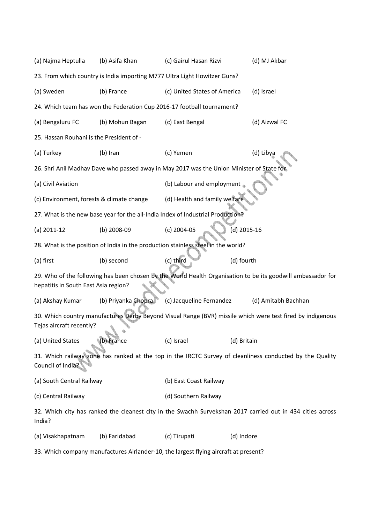| (a) Najma Heptulla                                                                                                                     | (b) Asifa Khan      | (c) Gairul Hasan Rizvi                                                                    | (d) MJ Akbar                                                                                                |  |  |  |
|----------------------------------------------------------------------------------------------------------------------------------------|---------------------|-------------------------------------------------------------------------------------------|-------------------------------------------------------------------------------------------------------------|--|--|--|
| 23. From which country is India importing M777 Ultra Light Howitzer Guns?                                                              |                     |                                                                                           |                                                                                                             |  |  |  |
| (a) Sweden                                                                                                                             | (b) France          | (c) United States of America<br>(d) Israel                                                |                                                                                                             |  |  |  |
| 24. Which team has won the Federation Cup 2016-17 football tournament?                                                                 |                     |                                                                                           |                                                                                                             |  |  |  |
| (a) Bengaluru FC                                                                                                                       | (b) Mohun Bagan     | (c) East Bengal                                                                           | (d) Aizwal FC                                                                                               |  |  |  |
| 25. Hassan Rouhani is the President of -                                                                                               |                     |                                                                                           |                                                                                                             |  |  |  |
| (a) Turkey                                                                                                                             | (b) Iran            | (c) Yemen                                                                                 | (d) Libya                                                                                                   |  |  |  |
|                                                                                                                                        |                     | 26. Shri Anil Madhav Dave who passed away in May 2017 was the Union Minister of State for |                                                                                                             |  |  |  |
| (a) Civil Aviation                                                                                                                     |                     | (b) Labour and employment                                                                 |                                                                                                             |  |  |  |
| (c) Environment, forests & climate change                                                                                              |                     | (d) Health and family welfare                                                             |                                                                                                             |  |  |  |
|                                                                                                                                        |                     | 27. What is the new base year for the all-India Index of Industrial Production?           |                                                                                                             |  |  |  |
| $(a)$ 2011-12                                                                                                                          | (b) 2008-09         | (c) 2004-05                                                                               | (d) 2015-16                                                                                                 |  |  |  |
|                                                                                                                                        |                     | 28. What is the position of India in the production stainless steel in the world?         |                                                                                                             |  |  |  |
| (a) first                                                                                                                              | (b) second          | (c) third                                                                                 | (d) fourth                                                                                                  |  |  |  |
|                                                                                                                                        |                     |                                                                                           | 29. Who of the following has been chosen by the World Health Organisation to be its goodwill ambassador for |  |  |  |
| hepatitis in South East Asia region?                                                                                                   |                     |                                                                                           |                                                                                                             |  |  |  |
| (a) Akshay Kumar                                                                                                                       | (b) Priyanka Chopra | (c) Jacqueline Fernandez                                                                  | (d) Amitabh Bachhan                                                                                         |  |  |  |
| 30. Which country manufactures Derby Beyond Visual Range (BVR) missile which were test fired by indigenous<br>Tejas aircraft recently? |                     |                                                                                           |                                                                                                             |  |  |  |
| (a) United States                                                                                                                      | (b) France          | (c) Israel                                                                                | (d) Britain                                                                                                 |  |  |  |
| 31. Which railway zone has ranked at the top in the IRCTC Survey of cleanliness conducted by the Quality<br>Council of India?          |                     |                                                                                           |                                                                                                             |  |  |  |
| (a) South Central Railway                                                                                                              |                     | (b) East Coast Railway                                                                    |                                                                                                             |  |  |  |
| (c) Central Railway                                                                                                                    |                     | (d) Southern Railway                                                                      |                                                                                                             |  |  |  |
| 32. Which city has ranked the cleanest city in the Swachh Survekshan 2017 carried out in 434 cities across<br>India?                   |                     |                                                                                           |                                                                                                             |  |  |  |
| (a) Visakhapatnam                                                                                                                      | (b) Faridabad       | (c) Tirupati                                                                              | (d) Indore                                                                                                  |  |  |  |
| 33. Which company manufactures Airlander-10, the largest flying aircraft at present?                                                   |                     |                                                                                           |                                                                                                             |  |  |  |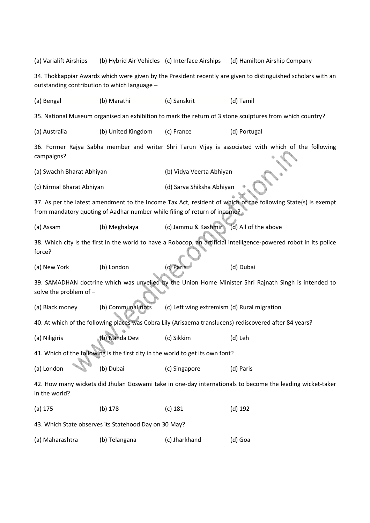| (a) Varialift Airships                                                                                                                                                                    | (b) Hybrid Air Vehicles (c) Interface Airships                    |                           | (d) Hamilton Airship Company                                                                        |  |  |
|-------------------------------------------------------------------------------------------------------------------------------------------------------------------------------------------|-------------------------------------------------------------------|---------------------------|-----------------------------------------------------------------------------------------------------|--|--|
| 34. Thokkappiar Awards which were given by the President recently are given to distinguished scholars with an<br>outstanding contribution to which language -                             |                                                                   |                           |                                                                                                     |  |  |
| (a) Bengal                                                                                                                                                                                | (b) Marathi                                                       | (c) Sanskrit              | (d) Tamil                                                                                           |  |  |
| 35. National Museum organised an exhibition to mark the return of 3 stone sculptures from which country?                                                                                  |                                                                   |                           |                                                                                                     |  |  |
| (a) Australia                                                                                                                                                                             | (b) United Kingdom                                                | (c) France                | (d) Portugal                                                                                        |  |  |
| campaigns?                                                                                                                                                                                |                                                                   |                           | 36. Former Rajya Sabha member and writer Shri Tarun Vijay is associated with which of the following |  |  |
| (a) Swachh Bharat Abhiyan                                                                                                                                                                 |                                                                   | (b) Vidya Veerta Abhiyan  |                                                                                                     |  |  |
| (c) Nirmal Bharat Abhiyan                                                                                                                                                                 |                                                                   | (d) Sarva Shiksha Abhiyan |                                                                                                     |  |  |
| 37. As per the latest amendment to the Income Tax Act, resident of which of the following State(s) is exempt<br>from mandatory quoting of Aadhar number while filing of return of income? |                                                                   |                           |                                                                                                     |  |  |
| (a) Assam                                                                                                                                                                                 | (b) Meghalaya                                                     | (c) Jammu & Kashmir       | (d) All of the above                                                                                |  |  |
| 38. Which city is the first in the world to have a Robocop, an artificial intelligence-powered robot in its police<br>force?                                                              |                                                                   |                           |                                                                                                     |  |  |
| (a) New York                                                                                                                                                                              | (b) London                                                        | (c) Paris                 | (d) Dubai                                                                                           |  |  |
| 39. SAMADHAN doctrine which was unveiled by the Union Home Minister Shri Rajnath Singh is intended to<br>solve the problem of -                                                           |                                                                   |                           |                                                                                                     |  |  |
| (a) Black money                                                                                                                                                                           | (b) Communal riots<br>(c) Left wing extremism (d) Rural migration |                           |                                                                                                     |  |  |
| 40. At which of the following places was Cobra Lily (Arisaema translucens) rediscovered after 84 years?                                                                                   |                                                                   |                           |                                                                                                     |  |  |
| (a) Niligiris                                                                                                                                                                             | (b) Nanda Devi                                                    | (c) Sikkim                | (d) Leh                                                                                             |  |  |
| 41. Which of the following is the first city in the world to get its own font?                                                                                                            |                                                                   |                           |                                                                                                     |  |  |
| (a) London                                                                                                                                                                                | (b) Dubai                                                         | (c) Singapore             | (d) Paris                                                                                           |  |  |
| 42. How many wickets did Jhulan Goswami take in one-day internationals to become the leading wicket-taker<br>in the world?                                                                |                                                                   |                           |                                                                                                     |  |  |
| $(a)$ 175                                                                                                                                                                                 | (b) 178                                                           | $(c)$ 181                 | $(d)$ 192                                                                                           |  |  |
| 43. Which State observes its Statehood Day on 30 May?                                                                                                                                     |                                                                   |                           |                                                                                                     |  |  |
| (a) Maharashtra                                                                                                                                                                           | (b) Telangana                                                     | (c) Jharkhand             | (d) Goa                                                                                             |  |  |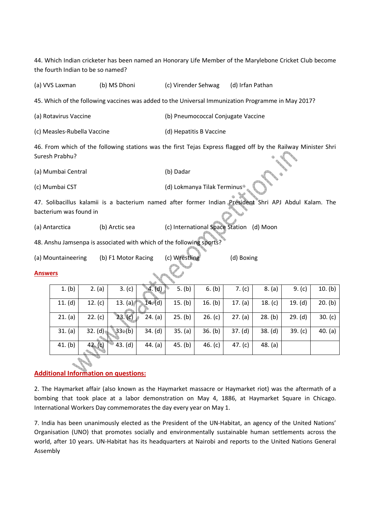44. Which Indian cricketer has been named an Honorary Life Member of the Marylebone Cricket Club become the fourth Indian to be so named?

(a) VVS Laxman (b) MS Dhoni (c) Virender Sehwag (d) Irfan Pathan

45. Which of the following vaccines was added to the Universal Immunization Programme in May 2017?

(a) Rotavirus Vaccine (b) Pneumococcal Conjugate Vaccine

(c) Measles-Rubella Vaccine (d) Hepatitis B Vaccine

46. From which of the following stations was the first Tejas Express flagged off by the Railway Minister Shri Suresh Prabhu?

(a) Mumbai Central (b) Dadar

(c) Mumbai CST (d) Lokmanya Tilak Terminus

47. Solibacillus kalamii is a bacterium named after former Indian President Shri APJ Abdul Kalam. The bacterium was found in

(a) Antarctica (b) Arctic sea (c) International Space Station (d) Moon

48. Anshu Jamsenpa is associated with which of the following sports

(a) Mountaineering (b) F1 Motor Racing (c) Wrestling (d) Boxing

## **Answers**

| 1. (b)    | 2. (a)    | 3. (c)         | 4. (d)    | 5. (b)  | 6. (b)    | 7. $(c)$  | 8. (a)    | 9. $(c)$  | 10. (b)   |
|-----------|-----------|----------------|-----------|---------|-----------|-----------|-----------|-----------|-----------|
| 11. $(d)$ | 12. $(c)$ | 13. (a) $\sim$ | $14.$ (d) | 15. (b) | 16. $(b)$ | 17. $(a)$ | 18. $(c)$ | 19. (d)   | 20. (b)   |
| 21. (a)   | 22. (c)   | 23.(c)         | 24. (a)   | 25. (b) | 26. (c)   | 27. (a)   | 28. (b)   | 29. (d)   | 30. $(c)$ |
| 31. (a)   | 32. (d)   | $33*(b)$       | 34. (d)   | 35. (a) | 36. (b)   | 37. (d)   | 38. (d)   | 39. $(c)$ | 40. (a)   |
| 41. (b)   | 42. (c)   | 43. (d)        | 44. $(a)$ | 45. (b) | 46. $(c)$ | 47. $(c)$ | 48. (a)   |           |           |

## **Additional Information on questions:**

2. The Haymarket affair (also known as the Haymarket massacre or Haymarket riot) was the aftermath of a bombing that took place at a labor demonstration on May 4, 1886, at Haymarket Square in Chicago. International Workers Day commemorates the day every year on May 1.

7. India has been unanimously elected as the President of the UN-Habitat, an agency of the United Nations' Organisation (UNO) that promotes socially and environmentally sustainable human settlements across the world, after 10 years. UN-Habitat has its headquarters at Nairobi and reports to the United Nations General Assembly